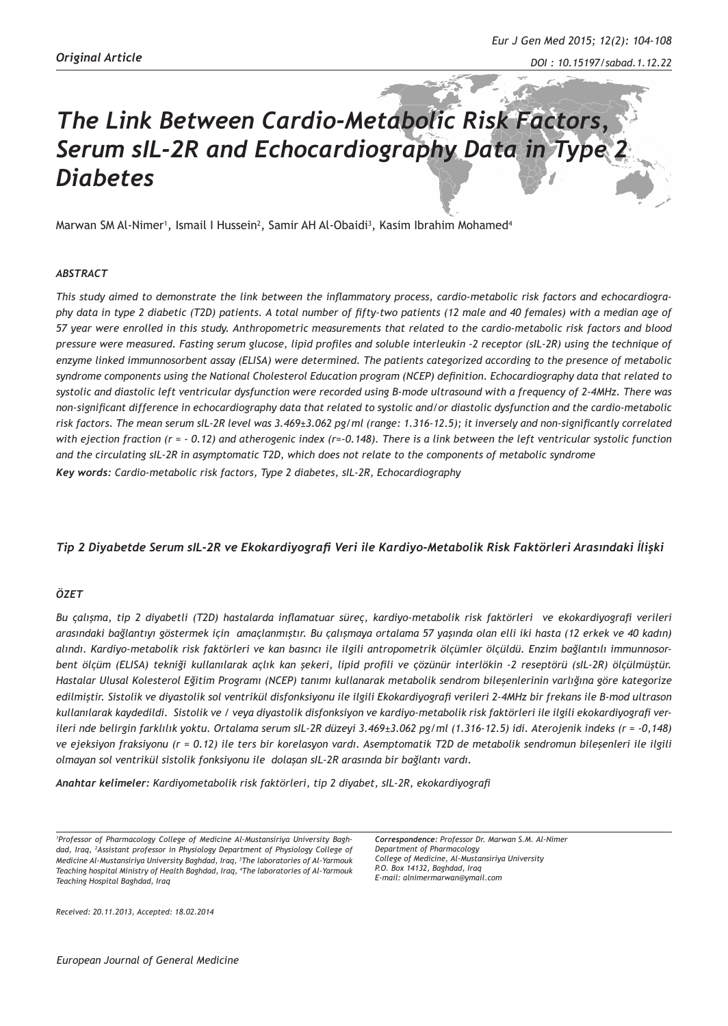# *The Link Between Cardio-Metabolic Risk Factors, Serum sIL-2R and Echocardiography Data in Type 2 Diabetes*

Marwan SM Al-Nimer<sup>1</sup>, Ismail I Hussein<sup>2</sup>, Samir AH Al-Obaidi<sup>3</sup>, Kasim Ibrahim Mohamed<sup>4</sup>

#### *ABSTRACT*

*This study aimed to demonstrate the link between the inflammatory process, cardio-metabolic risk factors and echocardiography data in type 2 diabetic (T2D) patients. A total number of fifty-two patients (12 male and 40 females) with a median age of 57 year were enrolled in this study. Anthropometric measurements that related to the cardio-metabolic risk factors and blood pressure were measured. Fasting serum glucose, lipid profiles and soluble interleukin -2 receptor (sIL-2R) using the technique of enzyme linked immunnosorbent assay (ELISA) were determined. The patients categorized according to the presence of metabolic syndrome components using the National Cholesterol Education program (NCEP) definition. Echocardiography data that related to systolic and diastolic left ventricular dysfunction were recorded using B-mode ultrasound with a frequency of 2-4MHz. There was non-significant difference in echocardiography data that related to systolic and/or diastolic dysfunction and the cardio-metabolic risk factors. The mean serum sIL-2R level was 3.469±3.062 pg/ml (range: 1.316-12.5); it inversely and non-significantly correlated with ejection fraction (r = - 0.12) and atherogenic index (r=-0.148). There is a link between the left ventricular systolic function and the circulating sIL-2R in asymptomatic T2D, which does not relate to the components of metabolic syndrome Key words: Cardio-metabolic risk factors, Type 2 diabetes, sIL-2R, Echocardiography*

### *Tip 2 Diyabetde Serum sIL-2R ve Ekokardiyografi Veri ile Kardiyo-Metabolik Risk Faktörleri Arasındaki İlişki*

## *ÖZET*

*Bu çalışma, tip 2 diyabetli (T2D) hastalarda inflamatuar süreç, kardiyo-metabolik risk faktörleri ve ekokardiyografi verileri arasındaki bağlantıyı göstermek için amaçlanmıştır. Bu çalışmaya ortalama 57 yaşında olan elli iki hasta (12 erkek ve 40 kadın) alındı. Kardiyo-metabolik risk faktörleri ve kan basıncı ile ilgili antropometrik ölçümler ölçüldü. Enzim bağlantılı immunnosorbent ölçüm (ELISA) tekniği kullanılarak açlık kan şekeri, lipid profili ve çözünür interlökin -2 reseptörü (sIL-2R) ölçülmüştür. Hastalar Ulusal Kolesterol Eğitim Programı (NCEP) tanımı kullanarak metabolik sendrom bileşenlerinin varlığına göre kategorize edilmiştir. Sistolik ve diyastolik sol ventrikül disfonksiyonu ile ilgili Ekokardiyografi verileri 2-4MHz bir frekans ile B-mod ultrason kullanılarak kaydedildi. Sistolik ve / veya diyastolik disfonksiyon ve kardiyo-metabolik risk faktörleri ile ilgili ekokardiyografi verileri nde belirgin farklılık yoktu. Ortalama serum sIL-2R düzeyi 3.469±3.062 pg/ml (1.316-12.5) idi. Aterojenik indeks (r = -0,148) ve ejeksiyon fraksiyonu (r = 0.12) ile ters bir korelasyon vardı. Asemptomatik T2D de metabolik sendromun bileşenleri ile ilgili olmayan sol ventrikül sistolik fonksiyonu ile dolaşan sIL-2R arasında bir bağlantı vardı.*

*Anahtar kelimeler: Kardiyometabolik risk faktörleri, tip 2 diyabet, sIL-2R, ekokardiyografi*

*Correspondence: Professor Dr. Marwan S.M. Al-Nimer Department of Pharmacology College of Medicine, Al-Mustansiriya University P.O. Box 14132, Baghdad, Iraq E-mail: alnimermarwan@ymail.com*

*Received: 20.11.2013, Accepted: 18.02.2014*

*<sup>1</sup> Professor of Pharmacology College of Medicine Al-Mustansiriya University Baghdad, Iraq, 2 Assistant professor in Physiology Department of Physiology College of Medicine Al-Mustansiriya University Baghdad, Iraq, 3 The laboratories of Al-Yarmouk Teaching hospital Ministry of Health Baghdad, Iraq, 4 The laboratories of Al-Yarmouk Teaching Hospital Baghdad, Iraq*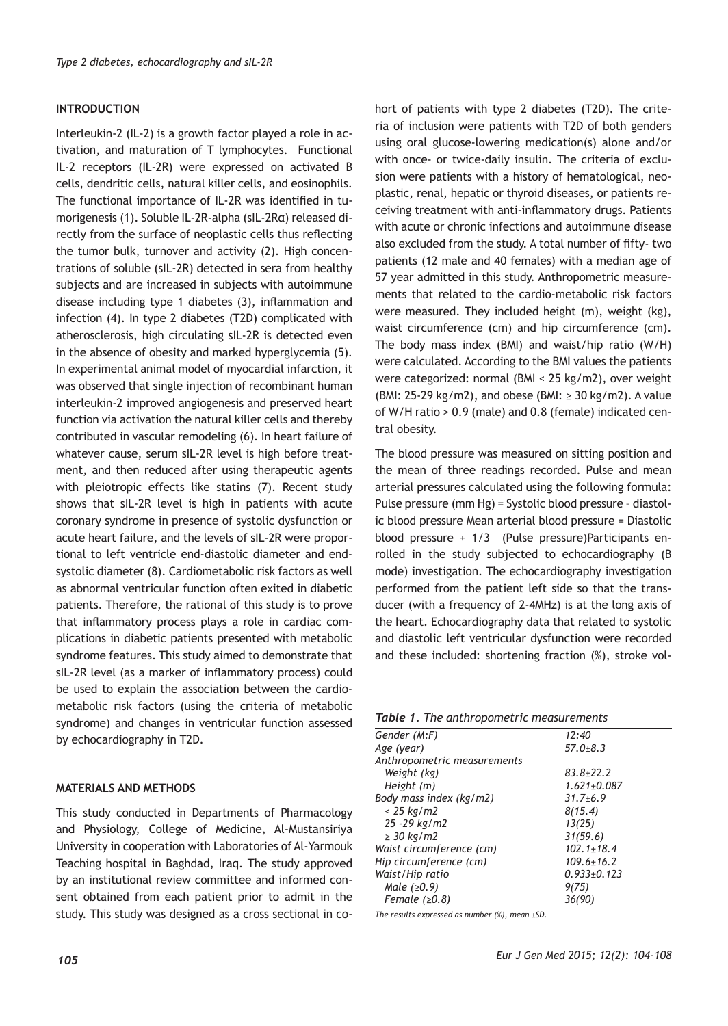## **INTRODUCTION**

Interleukin-2 (IL-2) is a growth factor played a role in activation, and maturation of T lymphocytes. Functional IL-2 receptors (IL-2R) were expressed on activated B cells, dendritic cells, natural killer cells, and eosinophils. The functional importance of IL-2R was identified in tumorigenesis (1). Soluble IL-2R-alpha (sIL-2Rα) released directly from the surface of neoplastic cells thus reflecting the tumor bulk, turnover and activity (2). High concentrations of soluble (sIL-2R) detected in sera from healthy subjects and are increased in subjects with autoimmune disease including type 1 diabetes (3), inflammation and infection (4). In type 2 diabetes (T2D) complicated with atherosclerosis, high circulating sIL-2R is detected even in the absence of obesity and marked hyperglycemia (5). In experimental animal model of myocardial infarction, it was observed that single injection of recombinant human interleukin-2 improved angiogenesis and preserved heart function via activation the natural killer cells and thereby contributed in vascular remodeling (6). In heart failure of whatever cause, serum sIL-2R level is high before treatment, and then reduced after using therapeutic agents with pleiotropic effects like statins (7). Recent study shows that sIL-2R level is high in patients with acute coronary syndrome in presence of systolic dysfunction or acute heart failure, and the levels of sIL-2R were proportional to left ventricle end-diastolic diameter and endsystolic diameter (8). Cardiometabolic risk factors as well as abnormal ventricular function often exited in diabetic patients. Therefore, the rational of this study is to prove that inflammatory process plays a role in cardiac complications in diabetic patients presented with metabolic syndrome features. This study aimed to demonstrate that sIL-2R level (as a marker of inflammatory process) could be used to explain the association between the cardiometabolic risk factors (using the criteria of metabolic syndrome) and changes in ventricular function assessed by echocardiography in T2D.

#### **MATERIALS AND METHODS**

This study conducted in Departments of Pharmacology and Physiology, College of Medicine, Al-Mustansiriya University in cooperation with Laboratories of Al-Yarmouk Teaching hospital in Baghdad, Iraq. The study approved by an institutional review committee and informed consent obtained from each patient prior to admit in the study. This study was designed as a cross sectional in cohort of patients with type 2 diabetes (T2D). The criteria of inclusion were patients with T2D of both genders using oral glucose-lowering medication(s) alone and/or with once- or twice-daily insulin. The criteria of exclusion were patients with a history of hematological, neoplastic, renal, hepatic or thyroid diseases, or patients receiving treatment with anti-inflammatory drugs. Patients with acute or chronic infections and autoimmune disease also excluded from the study. A total number of fifty- two patients (12 male and 40 females) with a median age of 57 year admitted in this study. Anthropometric measurements that related to the cardio-metabolic risk factors were measured. They included height (m), weight (kg), waist circumference (cm) and hip circumference (cm). The body mass index (BMI) and waist/hip ratio (W/H) were calculated. According to the BMI values the patients were categorized: normal (BMI < 25 kg/m2), over weight (BMI: 25-29 kg/m2), and obese (BMI:  $\geq$  30 kg/m2). A value of W/H ratio > 0.9 (male) and 0.8 (female) indicated central obesity.

The blood pressure was measured on sitting position and the mean of three readings recorded. Pulse and mean arterial pressures calculated using the following formula: Pulse pressure (mm Hg) = Systolic blood pressure – diastolic blood pressure Mean arterial blood pressure = Diastolic blood pressure + 1/3 (Pulse pressure)Participants enrolled in the study subjected to echocardiography (B mode) investigation. The echocardiography investigation performed from the patient left side so that the transducer (with a frequency of 2-4MHz) is at the long axis of the heart. Echocardiography data that related to systolic and diastolic left ventricular dysfunction were recorded and these included: shortening fraction (%), stroke vol-

|  |  |  |  |  |  |  |  |  | <b>Table 1.</b> The anthropometric measurements |
|--|--|--|--|--|--|--|--|--|-------------------------------------------------|
|--|--|--|--|--|--|--|--|--|-------------------------------------------------|

| Gender (M:F)                | 12:40             |
|-----------------------------|-------------------|
| Age (year)                  | $57.0 + 8.3$      |
| Anthropometric measurements |                   |
| Weight (kg)                 | $83.8 + 22.2$     |
| Height (m)                  | $1.621 \pm 0.087$ |
| Body mass index (kg/m2)     | $31.7 + 6.9$      |
| $< 25 \text{ kg/m2}$        | 8(15.4)           |
| $25 - 29$ kg/m2             | 13(25)            |
| $\geq$ 30 kg/m2             | 31(59.6)          |
| Waist circumference (cm)    | $102.1 \pm 18.4$  |
| Hip circumference (cm)      | $109.6 \pm 16.2$  |
| Waist/Hip ratio             | $0.933 + 0.123$   |
| Male $(20.9)$               | 9(75)             |
| Female $(20.8)$             | 36(90)            |

*The results expressed as number (%), mean ±SD.*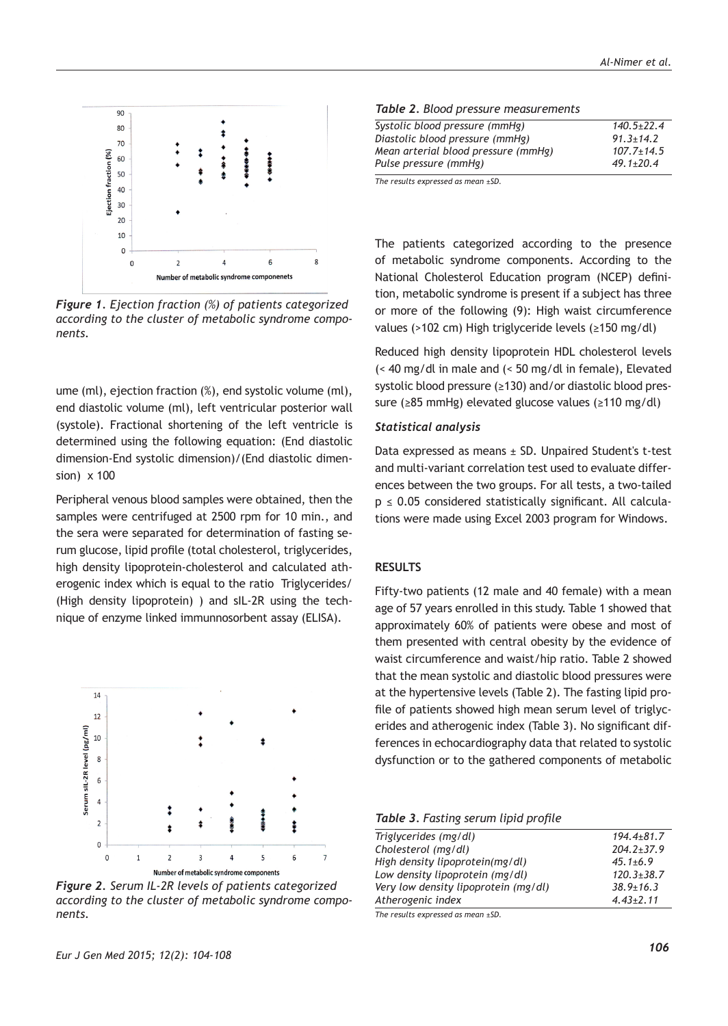

*Figure 1. Ejection fraction (%) of patients categorized according to the cluster of metabolic syndrome components.*

ume (ml), ejection fraction (%), end systolic volume (ml), end diastolic volume (ml), left ventricular posterior wall (systole). Fractional shortening of the left ventricle is determined using the following equation: (End diastolic dimension-End systolic dimension)/(End diastolic dimension) x 100

Peripheral venous blood samples were obtained, then the samples were centrifuged at 2500 rpm for 10 min., and the sera were separated for determination of fasting serum glucose, lipid profile (total cholesterol, triglycerides, high density lipoprotein-cholesterol and calculated atherogenic index which is equal to the ratio Triglycerides/ (High density lipoprotein) ) and sIL-2R using the technique of enzyme linked immunnosorbent assay (ELISA).



*Figure 2. Serum IL-2R levels of patients categorized according to the cluster of metabolic syndrome components.*

| Eur J Gen Med 2015; 12(2): 104-108 |  |  |  |  |
|------------------------------------|--|--|--|--|
|------------------------------------|--|--|--|--|

|  |  |  |  | Table 2. Blood pressure measurements |
|--|--|--|--|--------------------------------------|
|--|--|--|--|--------------------------------------|

| Systolic blood pressure (mmHg)      | $140.5 + 22.4$  |
|-------------------------------------|-----------------|
| Diastolic blood pressure (mmHg)     | $91.3 \pm 14.2$ |
| Mean arterial blood pressure (mmHg) | $107.7 + 14.5$  |
| Pulse pressure (mmHg)               | $49.1 + 20.4$   |

*The results expressed as mean ±SD.*

The patients categorized according to the presence of metabolic syndrome components. According to the National Cholesterol Education program (NCEP) definition, metabolic syndrome is present if a subject has three or more of the following (9): High waist circumference values (>102 cm) High triglyceride levels (≥150 mg/dl)

Reduced high density lipoprotein HDL cholesterol levels (< 40 mg/dl in male and (< 50 mg/dl in female), Elevated systolic blood pressure (≥130) and/or diastolic blood pressure (≥85 mmHg) elevated glucose values (≥110 mg/dl)

#### *Statistical analysis*

Data expressed as means  $\pm$  SD. Unpaired Student's t-test and multi-variant correlation test used to evaluate differences between the two groups. For all tests, a two-tailed  $p \le 0.05$  considered statistically significant. All calculations were made using Excel 2003 program for Windows.

#### **RESULTS**

Fifty-two patients (12 male and 40 female) with a mean age of 57 years enrolled in this study. Table 1 showed that approximately 60% of patients were obese and most of them presented with central obesity by the evidence of waist circumference and waist/hip ratio. Table 2 showed that the mean systolic and diastolic blood pressures were at the hypertensive levels (Table 2). The fasting lipid profile of patients showed high mean serum level of triglycerides and atherogenic index (Table 3). No significant differences in echocardiography data that related to systolic dysfunction or to the gathered components of metabolic

*Table 3. Fasting serum lipid profile*

| Triglycerides (mg/dl)                | $194.4 + 81.7$  |
|--------------------------------------|-----------------|
| Cholesterol (mg/dl)                  | $204.2 + 37.9$  |
| High density lipoprotein(mg/dl)      | $45.1 \pm 6.9$  |
| Low density lipoprotein (mg/dl)      | $120.3 + 38.7$  |
| Very low density lipoprotein (mg/dl) | $38.9 \pm 16.3$ |
| Atherogenic index                    | $4.43 \pm 2.11$ |
|                                      |                 |

*The results expressed as mean ±SD.*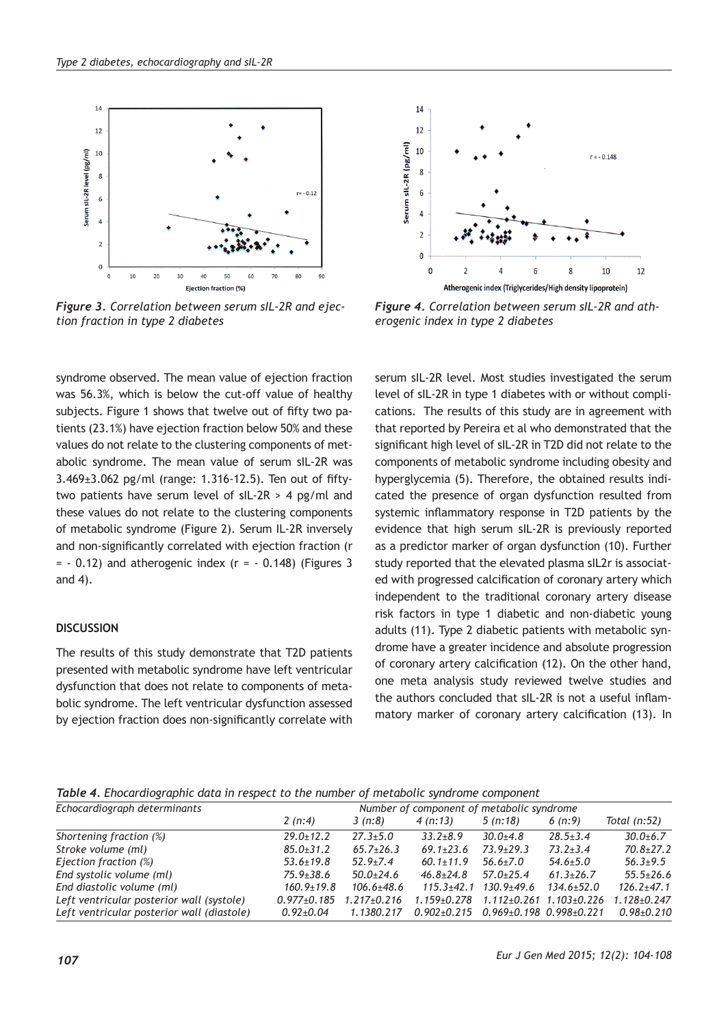

*Figure 3. Correlation between serum sIL-2R and ejection fraction in type 2 diabetes*

syndrome observed. The mean value of ejection fraction was 56.3%, which is below the cut-off value of healthy subjects. Figure 1 shows that twelve out of fifty two patients (23.1%) have ejection fraction below 50% and these values do not relate to the clustering components of metabolic syndrome. The mean value of serum sIL-2R was 3.469±3.062 pg/ml (range: 1.316-12.5). Ten out of fiftytwo patients have serum level of sIL-2R > 4 pg/ml and these values do not relate to the clustering components of metabolic syndrome (Figure 2). Serum IL-2R inversely and non-significantly correlated with ejection fraction (r  $= -0.12$ ) and atherogenic index ( $r = -0.148$ ) (Figures 3 and 4).

# **DISCUSSION**

The results of this study demonstrate that T2D patients presented with metabolic syndrome have left ventricular dysfunction that does not relate to components of metabolic syndrome. The left ventricular dysfunction assessed by ejection fraction does non-significantly correlate with



*Figure 4. Correlation between serum sIL-2R and atherogenic index in type 2 diabetes*

serum sIL-2R level. Most studies investigated the serum level of sIL-2R in type 1 diabetes with or without complications. The results of this study are in agreement with that reported by Pereira et al who demonstrated that the significant high level of sIL-2R in T2D did not relate to the components of metabolic syndrome including obesity and hyperglycemia (5). Therefore, the obtained results indicated the presence of organ dysfunction resulted from systemic inflammatory response in T2D patients by the evidence that high serum sIL-2R is previously reported as a predictor marker of organ dysfunction (10). Further study reported that the elevated plasma sIL2r is associated with progressed calcification of coronary artery which independent to the traditional coronary artery disease risk factors in type 1 diabetic and non-diabetic young adults (11). Type 2 diabetic patients with metabolic syndrome have a greater incidence and absolute progression of coronary artery calcification (12). On the other hand, one meta analysis study reviewed twelve studies and the authors concluded that sIL-2R is not a useful inflammatory marker of coronary artery calcification (13). In

*Table 4. Ehocardiographic data in respect to the number of metabolic syndrome component* 

| Echocardiograph determinants               |                   | Number of component of metabolic syndrome |                   |                                           |                   |                  |  |
|--------------------------------------------|-------------------|-------------------------------------------|-------------------|-------------------------------------------|-------------------|------------------|--|
|                                            | 2(n:4)            | 3(n:8)                                    | 4(n:13)           | 5(n:18)                                   | 6(n:9)            | Total (n:52)     |  |
| Shortening fraction (%)                    | $29.0 \pm 12.2$   | $27.3 + 5.0$                              | $33.2 + 8.9$      | $30.0 + 4.8$                              | $28.5 \pm 3.4$    | $30.0 + 6.7$     |  |
| Stroke volume (ml)                         | $85.0 \pm 31.2$   | $65.7 \pm 26.3$                           | $69.1 \pm 23.6$   | $73.9 + 29.3$                             | $73.2 \pm 3.4$    | $70.8 + 27.2$    |  |
| Ejection fraction (%)                      | $53.6 \pm 19.8$   | $52.9 + 7.4$                              | $60.1 + 11.9$     | $56.6 \pm 7.0$                            | $54.6 + 5.0$      | $56.3 + 9.5$     |  |
| End systolic volume (ml)                   | $75.9 \pm 38.6$   | $50.0 \pm 24.6$                           | $46.8 \pm 24.8$   | $57.0 + 25.4$                             | $61.3 \pm 26.7$   | $55.5 \pm 26.6$  |  |
| End diastolic volume (ml)                  | $160.9 \pm 19.8$  | $106.6 \pm 48.6$                          | $115.3 + 42.1$    | 130.9±49.6                                | $134.6 + 52.0$    | $126.2 \pm 47.1$ |  |
| Left ventricular posterior wall (systole)  | $0.977 \pm 0.185$ | $1.217+0.216$                             | $1.159 \pm 0.278$ | $1.112 \pm 0.261$                         | $1.103 \pm 0.226$ | $1.128 + 0.247$  |  |
| Left ventricular posterior wall (diastole) | $0.92{\pm}0.04$   | 1.1380.217                                |                   | $0.902+0.215$ $0.969+0.198$ $0.998+0.221$ |                   | $0.98 \pm 0.210$ |  |